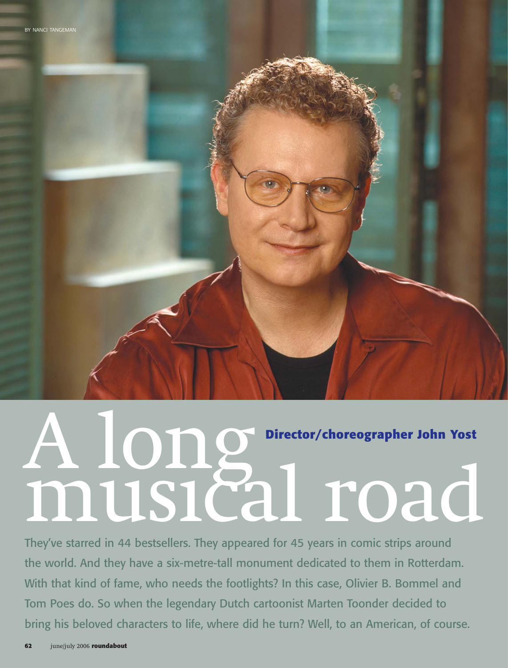

They've starred in 44 bestsellers. They appeared for 45 years in comic strips around the world. And they have a six-metre-tall monument dedicated to them in Rotterdam. With that kind of fame, who needs the footlights? In this case, Olivier B. Bommel and Tom Poes do. So when the legendary Dutch cartoonist Marten Toonder decided to bring his beloved characters to life, where did he turn? Well, to an American, of course.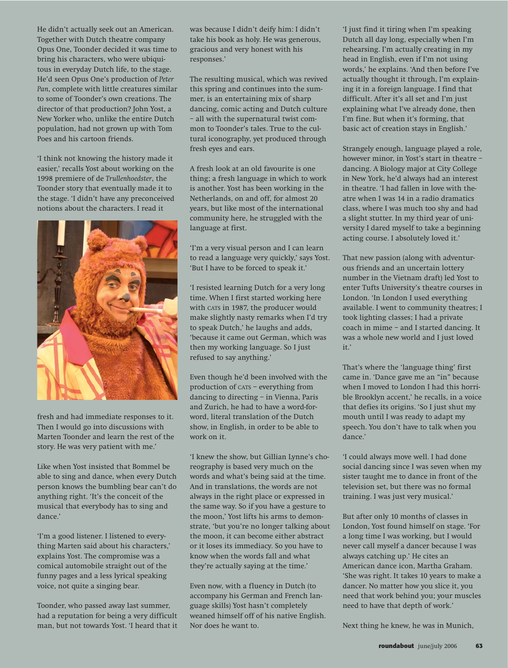He didn't actually seek out an American. Together with Dutch theatre company Opus One, Toonder decided it was time to bring his characters, who were ubiquitous in everyday Dutch life, to the stage. He'd seen Opus One's production of *Peter Pan*, complete with little creatures similar to some of Toonder's own creations. The director of that production? John Yost, a New Yorker who, unlike the entire Dutch population, had not grown up with Tom Poes and his cartoon friends.

'I think not knowing the history made it easier,' recalls Yost about working on the 1998 premiere of de *Trullenhoedster*, the Toonder story that eventually made it to the stage. 'I didn't have any preconceived notions about the characters. I read it



fresh and had immediate responses to it. Then I would go into discussions with Marten Toonder and learn the rest of the story. He was very patient with me.'

Like when Yost insisted that Bommel be able to sing and dance, when every Dutch person knows the bumbling bear can't do anything right. 'It's the conceit of the musical that everybody has to sing and dance.'

'I'm a good listener. I listened to everything Marten said about his characters,' explains Yost. The compromise was a comical automobile straight out of the funny pages and a less lyrical speaking voice, not quite a singing bear.

Toonder, who passed away last summer, had a reputation for being a very difficult man, but not towards Yost. 'I heard that it was because I didn't deify him: I didn't take his book as holy. He was generous, gracious and very honest with his responses.'

The resulting musical, which was revived this spring and continues into the summer, is an entertaining mix of sharp dancing, comic acting and Dutch culture – all with the supernatural twist common to Toonder's tales. True to the cultural iconography, yet produced through fresh eyes and ears.

A fresh look at an old favourite is one thing; a fresh language in which to work is another. Yost has been working in the Netherlands, on and off, for almost 20 years, but like most of the international community here, he struggled with the language at first.

'I'm a very visual person and I can learn to read a language very quickly,' says Yost. 'But I have to be forced to speak it.'

'I resisted learning Dutch for a very long time. When I first started working here with CATS in 1987, the producer would make slightly nasty remarks when I'd try to speak Dutch,' he laughs and adds, 'because it came out German, which was then my working language. So I just refused to say anything.'

Even though he'd been involved with the production of CATS – everything from dancing to directing – in Vienna, Paris and Zurich, he had to have a word-forword, literal translation of the Dutch show, in English, in order to be able to work on it.

'I knew the show, but Gillian Lynne's choreography is based very much on the words and what's being said at the time. And in translations, the words are not always in the right place or expressed in the same way. So if you have a gesture to the moon,' Yost lifts his arms to demonstrate, 'but you're no longer talking about the moon, it can become either abstract or it loses its immediacy. So you have to know when the words fall and what they're actually saying at the time.'

Even now, with a fluency in Dutch (to accompany his German and French language skills) Yost hasn't completely weaned himself off of his native English. Nor does he want to.

'I just find it tiring when I'm speaking Dutch all day long, especially when I'm rehearsing. I'm actually creating in my head in English, even if I'm not using words,' he explains. 'And then before I've actually thought it through, I'm explaining it in a foreign language. I find that difficult. After it's all set and I'm just explaining what I've already done, then I'm fine. But when it's forming, that basic act of creation stays in English.'

Strangely enough, language played a role, however minor, in Yost's start in theatre – dancing. A Biology major at City College in New York, he'd always had an interest in theatre. 'I had fallen in love with theatre when I was 14 in a radio dramatics class, where I was much too shy and had a slight stutter. In my third year of university I dared myself to take a beginning acting course. I absolutely loved it.'

That new passion (along with adventurous friends and an uncertain lottery number in the Vietnam draft) led Yost to enter Tufts University's theatre courses in London. 'In London I used everything available. I went to community theatres; I took lighting classes; I had a private coach in mime – and I started dancing. It was a whole new world and I just loved it.'

That's where the 'language thing' first came in. 'Dance gave me an "in" because when I moved to London I had this horrible Brooklyn accent,' he recalls, in a voice that defies its origins. 'So I just shut my mouth until I was ready to adapt my speech. You don't have to talk when you dance.'

'I could always move well. I had done social dancing since I was seven when my sister taught me to dance in front of the television set, but there was no formal training. I was just very musical.'

But after only 10 months of classes in London, Yost found himself on stage. 'For a long time I was working, but I would never call myself a dancer because I was always catching up.' He cites an American dance icon, Martha Graham. 'She was right. It takes 10 years to make a dancer. No matter how you slice it, you need that work behind you; your muscles need to have that depth of work.'

Next thing he knew, he was in Munich,